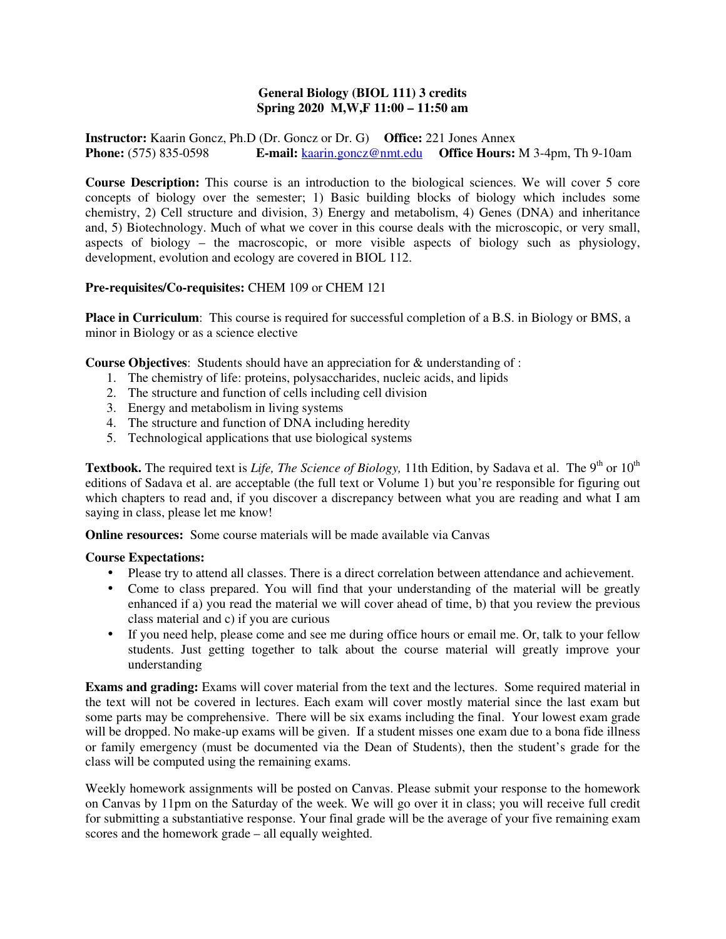## **General Biology (BIOL 111) 3 credits Spring 2020 M,W,F 11:00 – 11:50 am**

**Instructor:** Kaarin Goncz, Ph.D (Dr. Goncz or Dr. G) **Office:** 221 Jones Annex **Phone:** (575) 835-0598 **E-mail:** kaarin.goncz@nmt.edu **Office Hours:** M 3-4pm, Th 9-10am

**Course Description:** This course is an introduction to the biological sciences. We will cover 5 core concepts of biology over the semester; 1) Basic building blocks of biology which includes some chemistry, 2) Cell structure and division, 3) Energy and metabolism, 4) Genes (DNA) and inheritance and, 5) Biotechnology. Much of what we cover in this course deals with the microscopic, or very small, aspects of biology – the macroscopic, or more visible aspects of biology such as physiology, development, evolution and ecology are covered in BIOL 112.

## **Pre-requisites/Co-requisites:** CHEM 109 or CHEM 121

**Place in Curriculum**: This course is required for successful completion of a B.S. in Biology or BMS, a minor in Biology or as a science elective

**Course Objectives**: Students should have an appreciation for & understanding of :

- 1. The chemistry of life: proteins, polysaccharides, nucleic acids, and lipids
- 2. The structure and function of cells including cell division
- 3. Energy and metabolism in living systems
- 4. The structure and function of DNA including heredity
- 5. Technological applications that use biological systems

Textbook. The required text is *Life, The Science of Biology*, 11th Edition, by Sadava et al. The 9<sup>th</sup> or 10<sup>th</sup> editions of Sadava et al. are acceptable (the full text or Volume 1) but you're responsible for figuring out which chapters to read and, if you discover a discrepancy between what you are reading and what I am saying in class, please let me know!

**Online resources:** Some course materials will be made available via Canvas

## **Course Expectations:**

- Please try to attend all classes. There is a direct correlation between attendance and achievement.
- Come to class prepared. You will find that your understanding of the material will be greatly enhanced if a) you read the material we will cover ahead of time, b) that you review the previous class material and c) if you are curious
- If you need help, please come and see me during office hours or email me. Or, talk to your fellow students. Just getting together to talk about the course material will greatly improve your understanding

**Exams and grading:** Exams will cover material from the text and the lectures. Some required material in the text will not be covered in lectures. Each exam will cover mostly material since the last exam but some parts may be comprehensive. There will be six exams including the final. Your lowest exam grade will be dropped. No make-up exams will be given. If a student misses one exam due to a bona fide illness or family emergency (must be documented via the Dean of Students), then the student's grade for the class will be computed using the remaining exams.

Weekly homework assignments will be posted on Canvas. Please submit your response to the homework on Canvas by 11pm on the Saturday of the week. We will go over it in class; you will receive full credit for submitting a substantiative response. Your final grade will be the average of your five remaining exam scores and the homework grade – all equally weighted.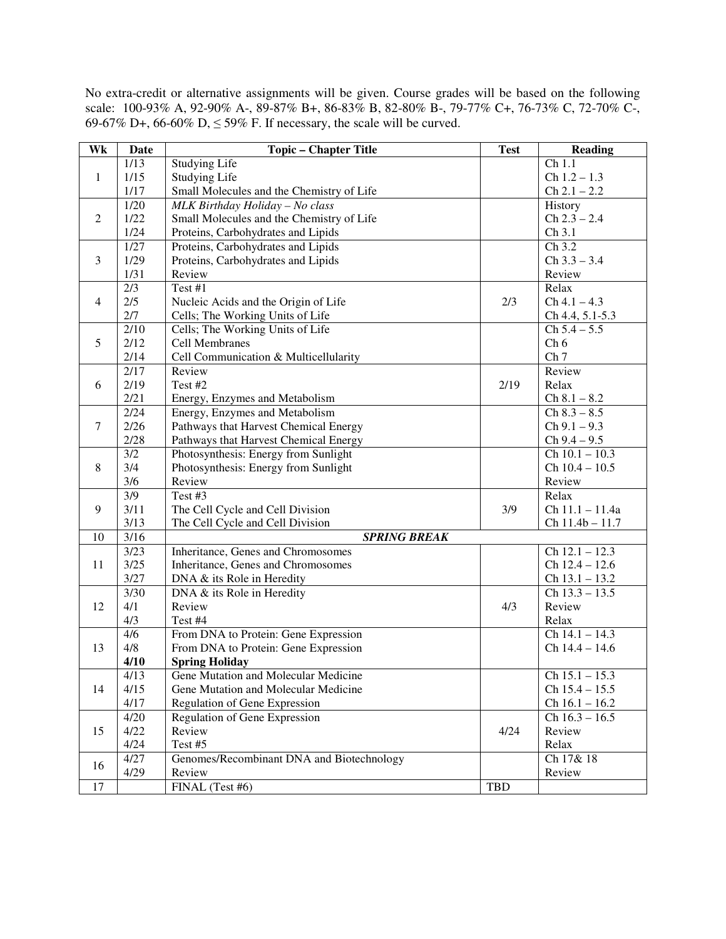No extra-credit or alternative assignments will be given. Course grades will be based on the following scale: 100-93% A, 92-90% A-, 89-87% B+, 86-83% B, 82-80% B-, 79-77% C+, 76-73% C, 72-70% C-, 69-67% D+, 66-60% D,  $\leq$  59% F. If necessary, the scale will be curved.

| Wk             | <b>Date</b>              | <b>Topic - Chapter Title</b>              | <b>Test</b> | <b>Reading</b>                |
|----------------|--------------------------|-------------------------------------------|-------------|-------------------------------|
| 1              | 1/13                     | <b>Studying Life</b>                      |             | Ch 1.1                        |
|                | 1/15                     | <b>Studying Life</b>                      |             | $Ch$ 1.2 - 1.3                |
|                | 1/17                     | Small Molecules and the Chemistry of Life |             | $Ch 2.1 - 2.2$                |
| 2              | 1/20                     | MLK Birthday Holiday - No class           |             | History                       |
|                | 1/22                     | Small Molecules and the Chemistry of Life |             | $Ch 2.3 - 2.4$                |
|                | 1/24                     | Proteins, Carbohydrates and Lipids        |             | Ch 3.1                        |
| 3              | 1/27                     | Proteins, Carbohydrates and Lipids        |             | Ch 3.2                        |
|                | 1/29                     | Proteins, Carbohydrates and Lipids        |             | $Ch 3.3 - 3.4$                |
|                | 1/31                     | Review                                    |             | Review                        |
| $\overline{4}$ | 2/3                      | Test #1                                   |             | Relax                         |
|                | 2/5                      | Nucleic Acids and the Origin of Life      | 2/3         | $Ch 4.1 - 4.3$                |
|                | 2/7                      | Cells; The Working Units of Life          |             | Ch 4.4, 5.1-5.3               |
| 5              | $\overline{2/10}$        | Cells; The Working Units of Life          |             | $Ch 5.4 - 5.5$                |
|                | 2/12                     | <b>Cell Membranes</b>                     |             | Ch 6                          |
|                | 2/14                     | Cell Communication & Multicellularity     |             | Ch <sub>7</sub>               |
| 6              | 2/17                     | Review                                    |             | Review                        |
|                | 2/19                     | Test #2                                   | 2/19        | Relax                         |
|                | 2/21                     | Energy, Enzymes and Metabolism            |             | $Ch 8.1 - 8.2$                |
| $\tau$         | 2/24                     | Energy, Enzymes and Metabolism            |             | $Ch 8.3 - 8.5$                |
|                | 2/26                     | Pathways that Harvest Chemical Energy     |             | $Ch 9.1 - 9.3$                |
|                | 2/28                     | Pathways that Harvest Chemical Energy     |             | $Ch 9.4 - 9.5$                |
| 8              | $\overline{3/2}$         | Photosynthesis: Energy from Sunlight      |             | $Ch$ 10.1 - 10.3              |
|                | 3/4                      | Photosynthesis: Energy from Sunlight      |             | $Ch$ 10.4 - 10.5              |
|                | 3/6                      | Review                                    |             | Review                        |
| 9              | $\overline{\frac{3}{9}}$ | Test #3                                   |             | Relax                         |
|                | 3/11                     | The Cell Cycle and Cell Division          | 3/9         | Ch 11.1 - 11.4a               |
|                | 3/13                     | The Cell Cycle and Cell Division          |             | Ch 11.4b - 11.7               |
| 10             | $\overline{3}/16$        | <b>SPRING BREAK</b>                       |             |                               |
| 11             | 3/23                     | Inheritance, Genes and Chromosomes        |             | $Ch$ $\overline{12.1 - 12.3}$ |
|                | 3/25                     | Inheritance, Genes and Chromosomes        |             | $Ch$ 12.4 - 12.6              |
|                | 3/27                     | DNA & its Role in Heredity                |             | $Ch$ 13.1 - 13.2              |
| 12             | 3/30                     | DNA & its Role in Heredity                |             | $Ch$ 13.3 – 13.5              |
|                | 4/1                      | Review                                    | 4/3         | Review                        |
|                | 4/3                      | Test #4                                   |             | Relax                         |
| 13             | 4/6                      | From DNA to Protein: Gene Expression      |             | $Ch$ 14.1 - 14.3              |
|                | 4/8                      | From DNA to Protein: Gene Expression      |             | $Ch$ 14.4 - 14.6              |
|                | 4/10                     | <b>Spring Holiday</b>                     |             |                               |
| 14             | 4/13                     | Gene Mutation and Molecular Medicine      |             | $Ch$ 15.1 - 15.3              |
|                | 4/15                     | Gene Mutation and Molecular Medicine      |             | $Ch$ 15.4 - 15.5              |
|                | 4/17                     | Regulation of Gene Expression             |             | $Ch$ 16.1 - 16.2              |
| 15             | 4/20                     | <b>Regulation of Gene Expression</b>      |             | $\overline{Ch}$ 16.3 – 16.5   |
|                | 4/22                     | Review                                    | 4/24        | Review                        |
|                | 4/24                     | Test #5                                   |             | Relax                         |
| 16             | 4/27                     | Genomes/Recombinant DNA and Biotechnology |             | Ch 17& 18                     |
|                | 4/29                     | Review                                    |             | Review                        |
| 17             |                          | FINAL (Test #6)                           | <b>TBD</b>  |                               |